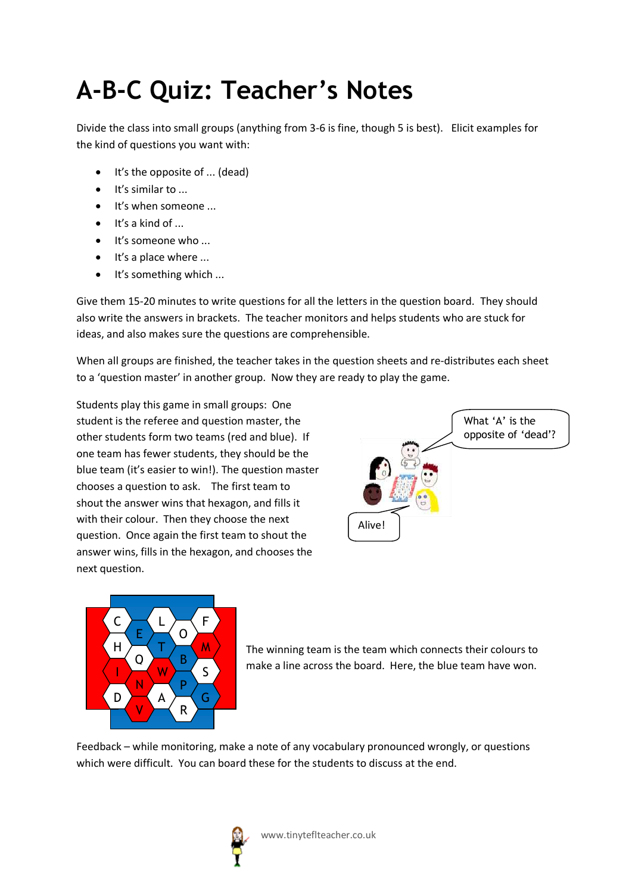## **A-B-C Quiz: Teacher's Notes**

Divide the class into small groups (anything from 3-6 is fine, though 5 is best). Elicit examples for the kind of questions you want with:

- $\bullet$  It's the opposite of ... (dead)
- It's similar to ...
- $\bullet$  It's when someone ...
- $\bullet$  It's a kind of ...
- $\bullet$  It's someone who ...
- $\bullet$  It's a place where ...
- $\bullet$  It's something which ...

Give them 15-20 minutes to write questions for all the letters in the question board. They should also write the answers in brackets. The teacher monitors and helps students who are stuck for ideas, and also makes sure the questions are comprehensible.

When all groups are finished, the teacher takes in the question sheets and re-distributes each sheet to a 'question master' in another group. Now they are ready to play the game.

Students play this game in small groups: One student is the referee and question master, the other students form two teams (red and blue). If one team has fewer students, they should be the blue team (it's easier to win!). The question master chooses a question to ask. The first team to shout the answer wins that hexagon, and fills it with their colour. Then they choose the next question. Once again the first team to shout the answer wins, fills in the hexagon, and chooses the next question.





The winning team is the team which connects their colours to make a line across the board. Here, the blue team have won.

Feedback – while monitoring, make a note of any vocabulary pronounced wrongly, or questions which were difficult. You can board these for the students to discuss at the end.

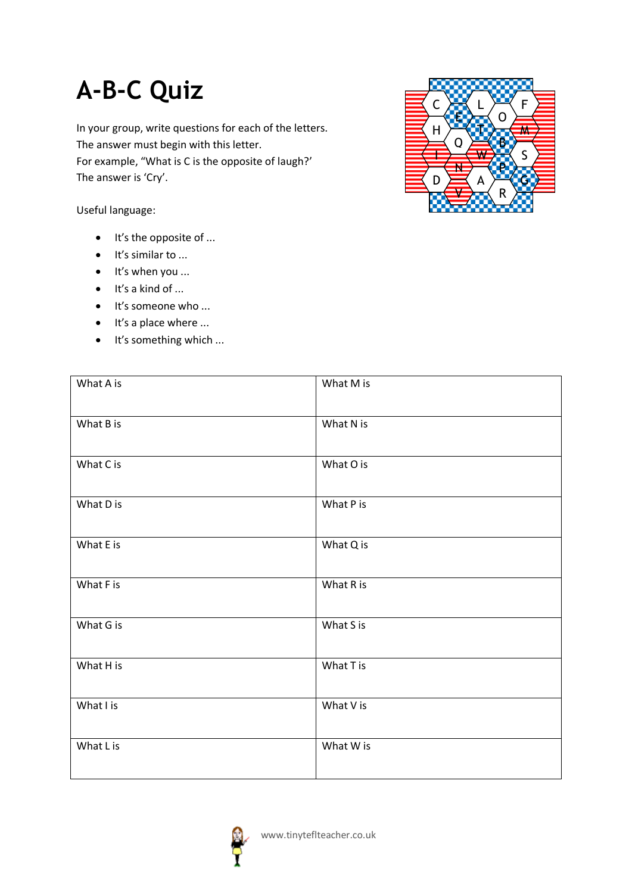## **A-B-C Quiz**

In your group, write questions for each of the letters. The answer must begin with this letter. For example, "What is C is the opposite of laugh?' The answer is 'Cry'.

Useful language:

- $\bullet$  It's the opposite of ...
- $\bullet$  It's similar to ...
- $\bullet$  It's when you ...
- $\bullet$  It's a kind of ...
- It's someone who ...
- $\bullet$  It's a place where ...

| It's something which<br>$\bullet$ |           |
|-----------------------------------|-----------|
| What A is                         | What M is |
| What B is                         | What N is |
| What C is                         | What O is |
| What D is                         | What P is |
| What E is                         | What Q is |
| What F is                         | What R is |
| What G is                         | What S is |